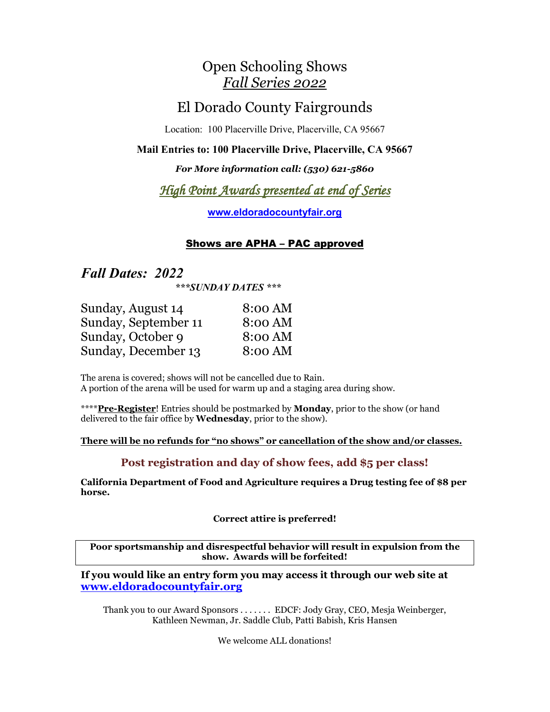## Open Schooling Shows *Fall Series 2022*

# El Dorado County Fairgrounds

Location: 100 Placerville Drive, Placerville, CA 95667

#### **Mail Entries to: 100 Placerville Drive, Placerville, CA 95667**

### *For More information call: (530) 621-5860*

## *High Point Awards presented at end of Series*

**[www.eldoradocountyfair.org](http://www.eldoradocountyfair.org/)**

## Shows are APHA – PAC approved

## *Fall Dates: 2022*

*\*\*\*SUNDAY DATES \*\*\**

| Sunday, August 14    | 8:00 AM |
|----------------------|---------|
| Sunday, September 11 | 8:00 AM |
| Sunday, October 9    | 8:00 AM |
| Sunday, November 6   | 8:00 AM |

The arena is covered; shows will not be cancelled due to Rain. A portion of the arena will be used for warm up and a staging area during show.

\*\*\*\***Pre-Register**! Entries should be postmarked by **Monday**, prior to the show (or hand delivered to the fair office by **Wednesday**, prior to the show).

#### **There will be no refunds for "no shows" or cancellation of the show and/or classes.**

## **Post registration and day of show fees, add \$5 per class!**

**California Department of Food and Agriculture requires a Drug testing fee of \$8 per horse.**

**Correct attire is preferred!**

**Poor sportsmanship and disrespectful behavior will result in expulsion from the show. Awards will be forfeited!**

**If you would like an entry form you may access it through our web site at www.eldoradocountyfair.org** 

Thank you to our Award Sponsors . . . . . . . EDCF: Jody Gray, CEO, Mesja Weinberger, Kathleen Newman, Jr. Saddle Club, Patti Babish, Kris Hansen

We welcome ALL donations!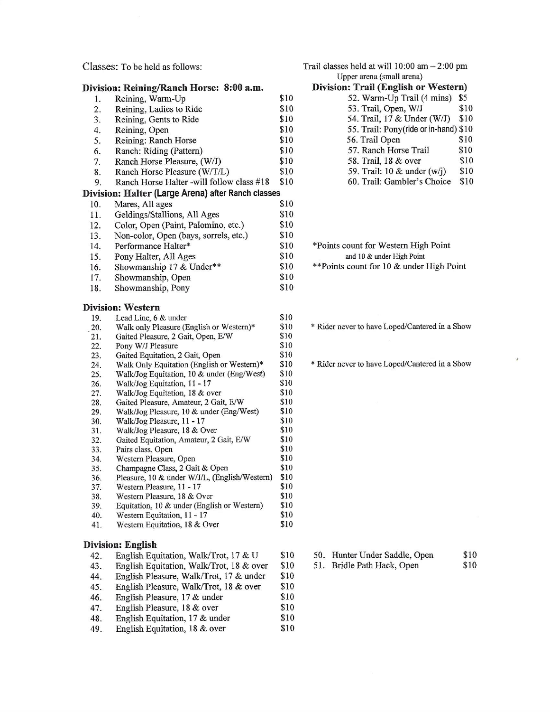Classes: To be held as follows:

| Ranch Horse Halter -will follow class #18  | \$10                                                                                                                                                                                                                                                                                                                                                                                                                                                                                                                                                                                                                                                                                                                                                                                                                                                                                                                                                                                                                                                                                                                                                                                                                                                                                                                                                                |                                                                                                                                                                                                                                                                                                                            |
|--------------------------------------------|---------------------------------------------------------------------------------------------------------------------------------------------------------------------------------------------------------------------------------------------------------------------------------------------------------------------------------------------------------------------------------------------------------------------------------------------------------------------------------------------------------------------------------------------------------------------------------------------------------------------------------------------------------------------------------------------------------------------------------------------------------------------------------------------------------------------------------------------------------------------------------------------------------------------------------------------------------------------------------------------------------------------------------------------------------------------------------------------------------------------------------------------------------------------------------------------------------------------------------------------------------------------------------------------------------------------------------------------------------------------|----------------------------------------------------------------------------------------------------------------------------------------------------------------------------------------------------------------------------------------------------------------------------------------------------------------------------|
|                                            |                                                                                                                                                                                                                                                                                                                                                                                                                                                                                                                                                                                                                                                                                                                                                                                                                                                                                                                                                                                                                                                                                                                                                                                                                                                                                                                                                                     |                                                                                                                                                                                                                                                                                                                            |
| Mares, All ages                            |                                                                                                                                                                                                                                                                                                                                                                                                                                                                                                                                                                                                                                                                                                                                                                                                                                                                                                                                                                                                                                                                                                                                                                                                                                                                                                                                                                     |                                                                                                                                                                                                                                                                                                                            |
|                                            | \$10                                                                                                                                                                                                                                                                                                                                                                                                                                                                                                                                                                                                                                                                                                                                                                                                                                                                                                                                                                                                                                                                                                                                                                                                                                                                                                                                                                |                                                                                                                                                                                                                                                                                                                            |
|                                            |                                                                                                                                                                                                                                                                                                                                                                                                                                                                                                                                                                                                                                                                                                                                                                                                                                                                                                                                                                                                                                                                                                                                                                                                                                                                                                                                                                     |                                                                                                                                                                                                                                                                                                                            |
|                                            |                                                                                                                                                                                                                                                                                                                                                                                                                                                                                                                                                                                                                                                                                                                                                                                                                                                                                                                                                                                                                                                                                                                                                                                                                                                                                                                                                                     |                                                                                                                                                                                                                                                                                                                            |
|                                            |                                                                                                                                                                                                                                                                                                                                                                                                                                                                                                                                                                                                                                                                                                                                                                                                                                                                                                                                                                                                                                                                                                                                                                                                                                                                                                                                                                     |                                                                                                                                                                                                                                                                                                                            |
|                                            |                                                                                                                                                                                                                                                                                                                                                                                                                                                                                                                                                                                                                                                                                                                                                                                                                                                                                                                                                                                                                                                                                                                                                                                                                                                                                                                                                                     |                                                                                                                                                                                                                                                                                                                            |
|                                            |                                                                                                                                                                                                                                                                                                                                                                                                                                                                                                                                                                                                                                                                                                                                                                                                                                                                                                                                                                                                                                                                                                                                                                                                                                                                                                                                                                     |                                                                                                                                                                                                                                                                                                                            |
|                                            |                                                                                                                                                                                                                                                                                                                                                                                                                                                                                                                                                                                                                                                                                                                                                                                                                                                                                                                                                                                                                                                                                                                                                                                                                                                                                                                                                                     |                                                                                                                                                                                                                                                                                                                            |
|                                            |                                                                                                                                                                                                                                                                                                                                                                                                                                                                                                                                                                                                                                                                                                                                                                                                                                                                                                                                                                                                                                                                                                                                                                                                                                                                                                                                                                     |                                                                                                                                                                                                                                                                                                                            |
|                                            |                                                                                                                                                                                                                                                                                                                                                                                                                                                                                                                                                                                                                                                                                                                                                                                                                                                                                                                                                                                                                                                                                                                                                                                                                                                                                                                                                                     |                                                                                                                                                                                                                                                                                                                            |
|                                            |                                                                                                                                                                                                                                                                                                                                                                                                                                                                                                                                                                                                                                                                                                                                                                                                                                                                                                                                                                                                                                                                                                                                                                                                                                                                                                                                                                     |                                                                                                                                                                                                                                                                                                                            |
|                                            | \$10                                                                                                                                                                                                                                                                                                                                                                                                                                                                                                                                                                                                                                                                                                                                                                                                                                                                                                                                                                                                                                                                                                                                                                                                                                                                                                                                                                |                                                                                                                                                                                                                                                                                                                            |
|                                            | \$10                                                                                                                                                                                                                                                                                                                                                                                                                                                                                                                                                                                                                                                                                                                                                                                                                                                                                                                                                                                                                                                                                                                                                                                                                                                                                                                                                                |                                                                                                                                                                                                                                                                                                                            |
|                                            | \$10                                                                                                                                                                                                                                                                                                                                                                                                                                                                                                                                                                                                                                                                                                                                                                                                                                                                                                                                                                                                                                                                                                                                                                                                                                                                                                                                                                |                                                                                                                                                                                                                                                                                                                            |
| Pony W/J Pleasure                          | \$10                                                                                                                                                                                                                                                                                                                                                                                                                                                                                                                                                                                                                                                                                                                                                                                                                                                                                                                                                                                                                                                                                                                                                                                                                                                                                                                                                                |                                                                                                                                                                                                                                                                                                                            |
|                                            | \$10                                                                                                                                                                                                                                                                                                                                                                                                                                                                                                                                                                                                                                                                                                                                                                                                                                                                                                                                                                                                                                                                                                                                                                                                                                                                                                                                                                |                                                                                                                                                                                                                                                                                                                            |
| Walk Only Equitation (English or Western)* | \$10                                                                                                                                                                                                                                                                                                                                                                                                                                                                                                                                                                                                                                                                                                                                                                                                                                                                                                                                                                                                                                                                                                                                                                                                                                                                                                                                                                |                                                                                                                                                                                                                                                                                                                            |
|                                            | \$10                                                                                                                                                                                                                                                                                                                                                                                                                                                                                                                                                                                                                                                                                                                                                                                                                                                                                                                                                                                                                                                                                                                                                                                                                                                                                                                                                                |                                                                                                                                                                                                                                                                                                                            |
|                                            |                                                                                                                                                                                                                                                                                                                                                                                                                                                                                                                                                                                                                                                                                                                                                                                                                                                                                                                                                                                                                                                                                                                                                                                                                                                                                                                                                                     |                                                                                                                                                                                                                                                                                                                            |
|                                            |                                                                                                                                                                                                                                                                                                                                                                                                                                                                                                                                                                                                                                                                                                                                                                                                                                                                                                                                                                                                                                                                                                                                                                                                                                                                                                                                                                     |                                                                                                                                                                                                                                                                                                                            |
|                                            |                                                                                                                                                                                                                                                                                                                                                                                                                                                                                                                                                                                                                                                                                                                                                                                                                                                                                                                                                                                                                                                                                                                                                                                                                                                                                                                                                                     |                                                                                                                                                                                                                                                                                                                            |
|                                            |                                                                                                                                                                                                                                                                                                                                                                                                                                                                                                                                                                                                                                                                                                                                                                                                                                                                                                                                                                                                                                                                                                                                                                                                                                                                                                                                                                     |                                                                                                                                                                                                                                                                                                                            |
|                                            |                                                                                                                                                                                                                                                                                                                                                                                                                                                                                                                                                                                                                                                                                                                                                                                                                                                                                                                                                                                                                                                                                                                                                                                                                                                                                                                                                                     |                                                                                                                                                                                                                                                                                                                            |
|                                            |                                                                                                                                                                                                                                                                                                                                                                                                                                                                                                                                                                                                                                                                                                                                                                                                                                                                                                                                                                                                                                                                                                                                                                                                                                                                                                                                                                     |                                                                                                                                                                                                                                                                                                                            |
|                                            |                                                                                                                                                                                                                                                                                                                                                                                                                                                                                                                                                                                                                                                                                                                                                                                                                                                                                                                                                                                                                                                                                                                                                                                                                                                                                                                                                                     |                                                                                                                                                                                                                                                                                                                            |
|                                            |                                                                                                                                                                                                                                                                                                                                                                                                                                                                                                                                                                                                                                                                                                                                                                                                                                                                                                                                                                                                                                                                                                                                                                                                                                                                                                                                                                     |                                                                                                                                                                                                                                                                                                                            |
|                                            |                                                                                                                                                                                                                                                                                                                                                                                                                                                                                                                                                                                                                                                                                                                                                                                                                                                                                                                                                                                                                                                                                                                                                                                                                                                                                                                                                                     |                                                                                                                                                                                                                                                                                                                            |
|                                            |                                                                                                                                                                                                                                                                                                                                                                                                                                                                                                                                                                                                                                                                                                                                                                                                                                                                                                                                                                                                                                                                                                                                                                                                                                                                                                                                                                     |                                                                                                                                                                                                                                                                                                                            |
|                                            |                                                                                                                                                                                                                                                                                                                                                                                                                                                                                                                                                                                                                                                                                                                                                                                                                                                                                                                                                                                                                                                                                                                                                                                                                                                                                                                                                                     |                                                                                                                                                                                                                                                                                                                            |
|                                            |                                                                                                                                                                                                                                                                                                                                                                                                                                                                                                                                                                                                                                                                                                                                                                                                                                                                                                                                                                                                                                                                                                                                                                                                                                                                                                                                                                     |                                                                                                                                                                                                                                                                                                                            |
|                                            |                                                                                                                                                                                                                                                                                                                                                                                                                                                                                                                                                                                                                                                                                                                                                                                                                                                                                                                                                                                                                                                                                                                                                                                                                                                                                                                                                                     |                                                                                                                                                                                                                                                                                                                            |
|                                            |                                                                                                                                                                                                                                                                                                                                                                                                                                                                                                                                                                                                                                                                                                                                                                                                                                                                                                                                                                                                                                                                                                                                                                                                                                                                                                                                                                     |                                                                                                                                                                                                                                                                                                                            |
|                                            |                                                                                                                                                                                                                                                                                                                                                                                                                                                                                                                                                                                                                                                                                                                                                                                                                                                                                                                                                                                                                                                                                                                                                                                                                                                                                                                                                                     |                                                                                                                                                                                                                                                                                                                            |
|                                            |                                                                                                                                                                                                                                                                                                                                                                                                                                                                                                                                                                                                                                                                                                                                                                                                                                                                                                                                                                                                                                                                                                                                                                                                                                                                                                                                                                     |                                                                                                                                                                                                                                                                                                                            |
|                                            |                                                                                                                                                                                                                                                                                                                                                                                                                                                                                                                                                                                                                                                                                                                                                                                                                                                                                                                                                                                                                                                                                                                                                                                                                                                                                                                                                                     |                                                                                                                                                                                                                                                                                                                            |
|                                            |                                                                                                                                                                                                                                                                                                                                                                                                                                                                                                                                                                                                                                                                                                                                                                                                                                                                                                                                                                                                                                                                                                                                                                                                                                                                                                                                                                     |                                                                                                                                                                                                                                                                                                                            |
| English Equitation, Walk/Trot, 18 & over   | \$10                                                                                                                                                                                                                                                                                                                                                                                                                                                                                                                                                                                                                                                                                                                                                                                                                                                                                                                                                                                                                                                                                                                                                                                                                                                                                                                                                                |                                                                                                                                                                                                                                                                                                                            |
|                                            | Division: Reining/Ranch Horse: 8:00 a.m.<br>Reining, Warm-Up<br>Reining, Ladies to Ride<br>Reining, Gents to Ride<br>Reining, Open<br>Reining: Ranch Horse<br>Ranch: Riding (Pattern)<br>Ranch Horse Pleasure, (W/J)<br>Ranch Horse Pleasure (W/T/L)<br>Geldings/Stallions, All Ages<br>Color, Open (Paint, Palomino, etc.)<br>Non-color, Open (bays, sorrels, etc.)<br>Performance Halter*<br>Pony Halter, All Ages<br>Showmanship 17 & Under**<br>Showmanship, Open<br>Showmanship, Pony<br><b>Division: Western</b><br>Lead Line, 6 & under<br>Walk only Pleasure (English or Western)*<br>Gaited Pleasure, 2 Gait, Open, E/W<br>Gaited Equitation, 2 Gait, Open<br>Walk/Jog Equitation, 10 & under (Eng/West)<br>Walk/Jog Equitation, 11 - 17<br>Walk/Jog Equitation, 18 & over<br>Gaited Pleasure, Amateur, 2 Gait, E/W<br>Walk/Jog Pleasure, 10 & under (Eng/West)<br>Walk/Jog Pleasure, 11 - 17<br>Walk/Jog Pleasure, 18 & Over<br>Gaited Equitation, Amateur, 2 Gait, E/W<br>Pairs class, Open<br>Western Pleasure, Open<br>Champagne Class, 2 Gait & Open<br>Pleasure, 10 & under W/J/L, (English/Western)<br>Western Pleasure, 11 - 17<br>Western Pleasure, 18 & Over<br>Equitation, 10 & under (English or Western)<br>Western Equitation, 11 - 17<br>Western Equitation, 18 & Over<br><b>Division: English</b><br>English Equitation, Walk/Trot, 17 & U | \$10<br>\$10<br>\$10<br>\$10<br>\$10<br>\$10<br>\$10<br>\$10<br>Division: Halter (Large Arena) after Ranch classes<br>\$10<br>\$10<br>\$10<br>\$10<br>\$10<br>\$10<br>\$10<br>\$10<br>\$10<br>\$10<br>\$10<br>\$10<br>\$10<br>\$10<br>\$10<br>\$10<br>\$10<br>\$10<br>\$10<br>\$10<br>\$10<br>\$10<br>\$10<br>\$10<br>\$10 |

| Trail classes held at will $10:00$ am $-2:00$ pm |  |  |
|--------------------------------------------------|--|--|
| Upper arena (small arena)                        |  |  |
|                                                  |  |  |

#### Division: Trail (English or Western) 52. Warm-Up Trail (4 mins) \$5 53. Trail, Open, W/J \$10 54. Trail, 17 & Under (W/J) \$10 55. Trail: Pony(ride or in-hand) \$10 56. Trail Open \$10 57. Ranch Horse Trail \$10  $$10$ 58. Trail, 18 & over 59. Trail: 10 & under (w/j) \$10 60. Trail: Gambler's Choice \$10

| *Points count for Western High Point      |
|-------------------------------------------|
| and 10 & under High Point                 |
| ** Points count for 10 & under High Point |

\* Rider never to have Loped/Cantered in a Show

\* Rider never to have Loped/Cantered in a Show

- 50. Hunter Under Saddle, Open \$10 \$10
- 51. Bridle Path Hack, Open

\$10

\$10

\$10

\$10

- English Pleasure, Walk/Trot, 18 & over 45.
- 46. English Pleasure, 17 & under

44.

- English Pleasure, 18 & over 47.
- 48. English Equitation, 17 & under  $$10$ \$10

English Pleasure, Walk/Trot, 17 & under

49. English Equitation, 18 & over